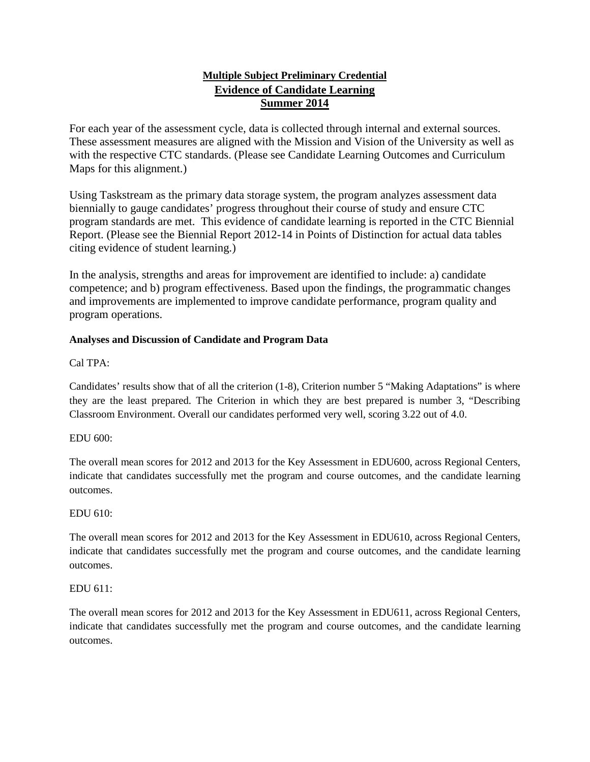# **Multiple Subject Preliminary Credential Evidence of Candidate Learning Summer 2014**

For each year of the assessment cycle, data is collected through internal and external sources. These assessment measures are aligned with the Mission and Vision of the University as well as with the respective CTC standards. (Please see Candidate Learning Outcomes and Curriculum Maps for this alignment.)

Using Taskstream as the primary data storage system, the program analyzes assessment data biennially to gauge candidates' progress throughout their course of study and ensure CTC program standards are met. This evidence of candidate learning is reported in the CTC Biennial Report. (Please see the Biennial Report 2012-14 in Points of Distinction for actual data tables citing evidence of student learning.)

In the analysis, strengths and areas for improvement are identified to include: a) candidate competence; and b) program effectiveness. Based upon the findings, the programmatic changes and improvements are implemented to improve candidate performance, program quality and program operations.

## **Analyses and Discussion of Candidate and Program Data**

Cal TPA:

Candidates' results show that of all the criterion (1-8), Criterion number 5 "Making Adaptations" is where they are the least prepared. The Criterion in which they are best prepared is number 3, "Describing Classroom Environment. Overall our candidates performed very well, scoring 3.22 out of 4.0.

#### EDU 600:

The overall mean scores for 2012 and 2013 for the Key Assessment in EDU600, across Regional Centers, indicate that candidates successfully met the program and course outcomes, and the candidate learning outcomes.

#### EDU 610:

The overall mean scores for 2012 and 2013 for the Key Assessment in EDU610, across Regional Centers, indicate that candidates successfully met the program and course outcomes, and the candidate learning outcomes.

#### EDU 611:

The overall mean scores for 2012 and 2013 for the Key Assessment in EDU611, across Regional Centers, indicate that candidates successfully met the program and course outcomes, and the candidate learning outcomes.